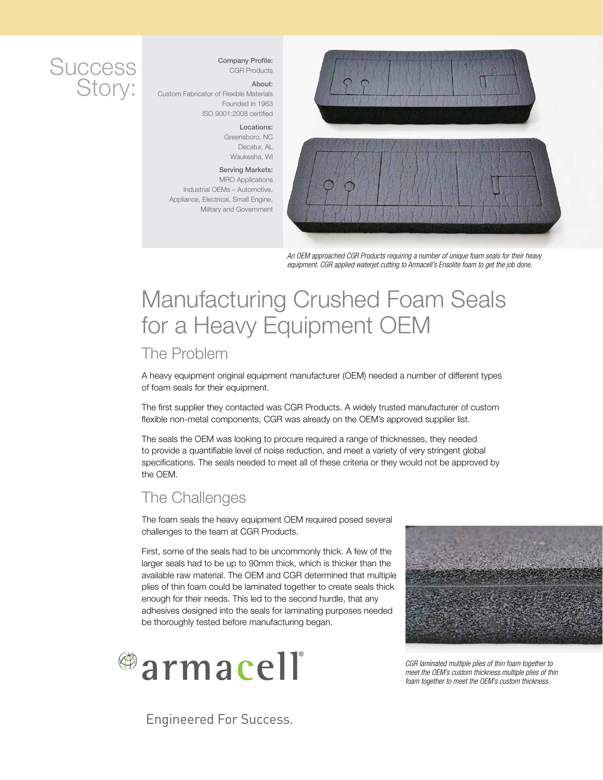## **Success** Story:

#### Company Profile: CGR Products

About: Custom Fabricator of Flexible Materials Founded in 1963 ISO 9001:2008 certified

> Locations: Greensboro, NC Decatur, AL Waukesha, WI

Serving Markets: MRO Applications Industrial OEMs – Automotive, Appliance, Electrical, Small Engine, Military and Government



*An OEM approached CGR Products requiring a number of unique foam seals for their heavy equipment. CGR applied waterjet cutting to Armacell's Ensolite foam to get the job done.*

# Manufacturing Crushed Foam Seals for a Heavy Equipment OEM

#### The Problem

A heavy equipment original equipment manufacturer (OEM) needed a number of different types of foam seals for their equipment.

The first supplier they contacted was CGR Products. A widely trusted manufacturer of custom flexible non-metal components, CGR was already on the OEM's approved supplier list.

The seals the OEM was looking to procure required a range of thicknesses, they needed to provide a quantifiable level of noise reduction, and meet a variety of very stringent global specifications. The seals needed to meet all of these criteria or they would not be approved by the OEM.

### The Challenges

The foam seals the heavy equipment OEM required posed several challenges to the team at CGR Products.

First, some of the seals had to be uncommonly thick. A few of the larger seals had to be up to 90mm thick, which is thicker than the available raw material. The OEM and CGR determined that multiple plies of thin foam could be laminated together to create seals thick enough for their needs. This led to the second hurdle, that any adhesives designed into the seals for laminating purposes needed be thoroughly tested before manufacturing began.



Engineered For Success.



*CGR laminated multiple plies of thin foam together to meet the OEM's custom thickness.multiple plies of thin foam together to meet the OEM's custom thickness.*